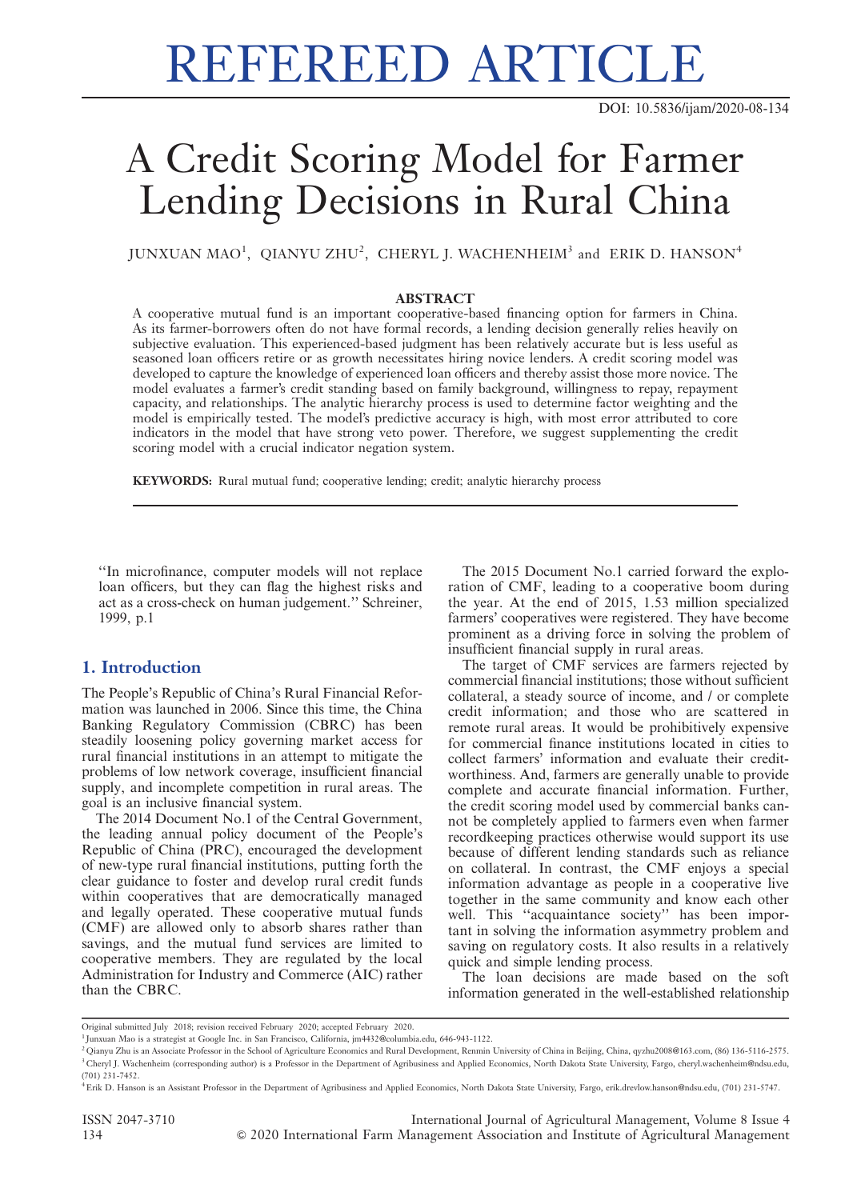# REFEREED ARTICLE

DOI: 10.5836/ijam/2020-08-134

## A Credit Scoring Model for Farmer Lending Decisions in Rural China

JUNXUAN MAO<sup>1</sup>, QIANYU ZHU<sup>2</sup>, CHERYL J. WACHENHEIM<sup>3</sup> and ERIK D. HANSON<sup>4</sup>

### ABSTRACT

A cooperative mutual fund is an important cooperative-based financing option for farmers in China. As its farmer-borrowers often do not have formal records, a lending decision generally relies heavily on subjective evaluation. This experienced-based judgment has been relatively accurate but is less useful as seasoned loan officers retire or as growth necessitates hiring novice lenders. A credit scoring model was developed to capture the knowledge of experienced loan officers and thereby assist those more novice. The model evaluates a farmer's credit standing based on family background, willingness to repay, repayment capacity, and relationships. The analytic hierarchy process is used to determine factor weighting and the model is empirically tested. The model's predictive accuracy is high, with most error attributed to core indicators in the model that have strong veto power. Therefore, we suggest supplementing the credit scoring model with a crucial indicator negation system.

KEYWORDS: Rural mutual fund; cooperative lending; credit; analytic hierarchy process

''In microfinance, computer models will not replace loan officers, but they can flag the highest risks and act as a cross-check on human judgement.'' Schreiner, 1999, p.1

### 1. Introduction

The People's Republic of China's Rural Financial Reformation was launched in 2006. Since this time, the China Banking Regulatory Commission (CBRC) has been steadily loosening policy governing market access for rural financial institutions in an attempt to mitigate the problems of low network coverage, insufficient financial supply, and incomplete competition in rural areas. The goal is an inclusive financial system.

The 2014 Document No.1 of the Central Government, the leading annual policy document of the People's Republic of China (PRC), encouraged the development of new-type rural financial institutions, putting forth the clear guidance to foster and develop rural credit funds within cooperatives that are democratically managed and legally operated. These cooperative mutual funds (CMF) are allowed only to absorb shares rather than savings, and the mutual fund services are limited to cooperative members. They are regulated by the local Administration for Industry and Commerce (AIC) rather than the CBRC.

The 2015 Document No.1 carried forward the exploration of CMF, leading to a cooperative boom during the year. At the end of 2015, 1.53 million specialized farmers' cooperatives were registered. They have become prominent as a driving force in solving the problem of insufficient financial supply in rural areas.

The target of CMF services are farmers rejected by commercial financial institutions; those without sufficient collateral, a steady source of income, and / or complete credit information; and those who are scattered in remote rural areas. It would be prohibitively expensive for commercial finance institutions located in cities to collect farmers' information and evaluate their creditworthiness. And, farmers are generally unable to provide complete and accurate financial information. Further, the credit scoring model used by commercial banks cannot be completely applied to farmers even when farmer recordkeeping practices otherwise would support its use because of different lending standards such as reliance on collateral. In contrast, the CMF enjoys a special information advantage as people in a cooperative live together in the same community and know each other well. This ''acquaintance society'' has been important in solving the information asymmetry problem and saving on regulatory costs. It also results in a relatively quick and simple lending process.

The loan decisions are made based on the soft information generated in the well-established relationship

Original submitted July 2018; revision received February 2020; accepted February 2020.

<sup>1</sup> Junxuan Mao is a strategist at Google Inc. in San Francisco, California, jm4432@columbia.edu, 646-943-1122.

<sup>2</sup> Qianyu Zhu is an Associate Professor in the School of Agriculture Economics and Rural Development, Renmin University of China in Beijing, China, qyzhu2008@163.com, (86) 136-5116-2575. <sup>3</sup> Cheryl J. Wachenheim (corresponding author) is a Professor in the Department of Agribusiness and Applied Economics, North Dakota State University, Fargo, cheryl.wachenheim@ndsu.edu, (701) 231-7452.

<sup>4</sup>Erik D. Hanson is an Assistant Professor in the Department of Agribusiness and Applied Economics, North Dakota State University, Fargo, erik.drevlow.hanson@ndsu.edu, (701) 231-5747.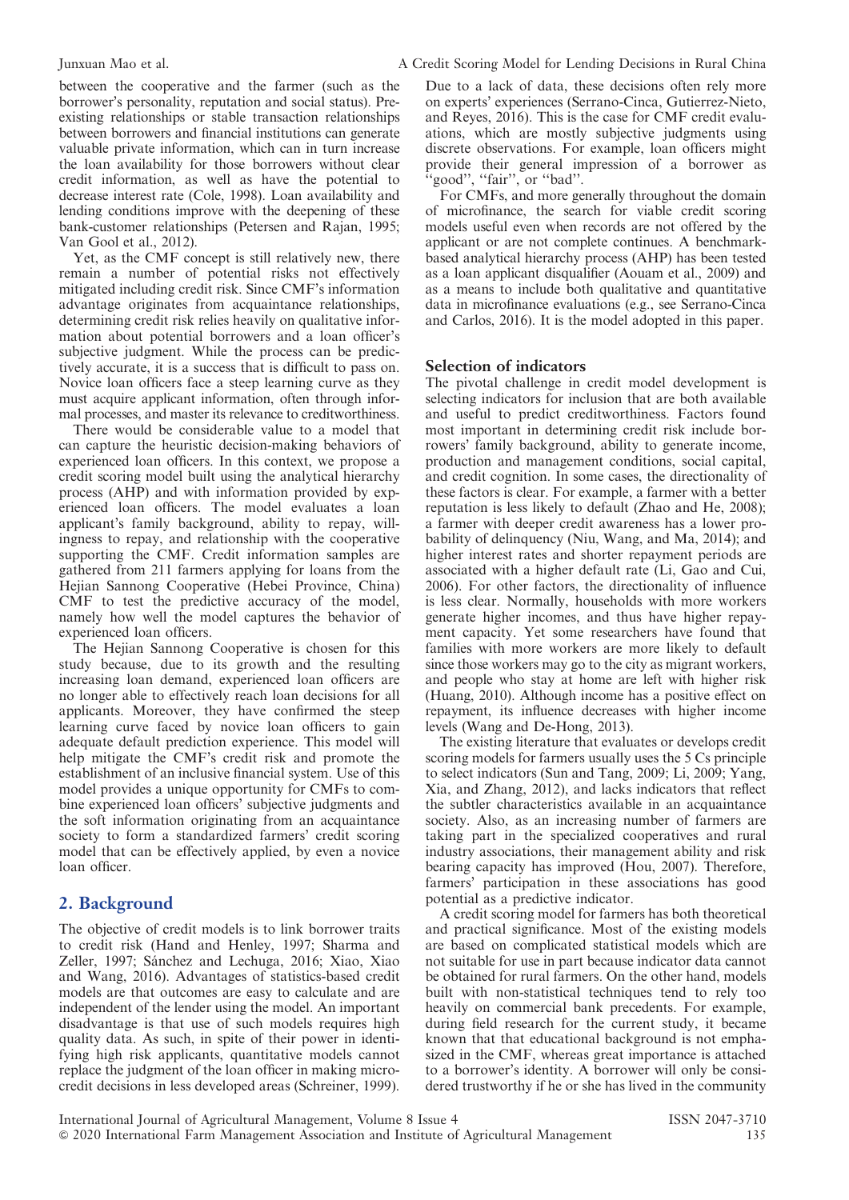between the cooperative and the farmer (such as the borrower's personality, reputation and social status). Preexisting relationships or stable transaction relationships between borrowers and financial institutions can generate valuable private information, which can in turn increase the loan availability for those borrowers without clear credit information, as well as have the potential to decrease interest rate (Cole, 1998). Loan availability and lending conditions improve with the deepening of these bank-customer relationships (Petersen and Rajan, 1995; Van Gool et al., 2012).

Yet, as the CMF concept is still relatively new, there remain a number of potential risks not effectively mitigated including credit risk. Since CMF's information advantage originates from acquaintance relationships, determining credit risk relies heavily on qualitative information about potential borrowers and a loan officer's subjective judgment. While the process can be predictively accurate, it is a success that is difficult to pass on. Novice loan officers face a steep learning curve as they must acquire applicant information, often through informal processes, and master its relevance to creditworthiness.

There would be considerable value to a model that can capture the heuristic decision-making behaviors of experienced loan officers. In this context, we propose a credit scoring model built using the analytical hierarchy process (AHP) and with information provided by experienced loan officers. The model evaluates a loan applicant's family background, ability to repay, willingness to repay, and relationship with the cooperative supporting the CMF. Credit information samples are gathered from 211 farmers applying for loans from the Hejian Sannong Cooperative (Hebei Province, China) CMF to test the predictive accuracy of the model, namely how well the model captures the behavior of experienced loan officers.

The Hejian Sannong Cooperative is chosen for this study because, due to its growth and the resulting increasing loan demand, experienced loan officers are no longer able to effectively reach loan decisions for all applicants. Moreover, they have confirmed the steep learning curve faced by novice loan officers to gain adequate default prediction experience. This model will help mitigate the CMF's credit risk and promote the establishment of an inclusive financial system. Use of this model provides a unique opportunity for CMFs to combine experienced loan officers' subjective judgments and the soft information originating from an acquaintance society to form a standardized farmers' credit scoring model that can be effectively applied, by even a novice loan officer.

### 2. Background

The objective of credit models is to link borrower traits to credit risk (Hand and Henley, 1997; Sharma and Zeller, 1997; Sánchez and Lechuga, 2016; Xiao, Xiao and Wang, 2016). Advantages of statistics-based credit models are that outcomes are easy to calculate and are independent of the lender using the model. An important disadvantage is that use of such models requires high quality data. As such, in spite of their power in identifying high risk applicants, quantitative models cannot replace the judgment of the loan officer in making microcredit decisions in less developed areas (Schreiner, 1999).

Due to a lack of data, these decisions often rely more on experts' experiences (Serrano-Cinca, Gutierrez-Nieto, and Reyes, 2016). This is the case for CMF credit evaluations, which are mostly subjective judgments using discrete observations. For example, loan officers might provide their general impression of a borrower as 'good'', "fair", or "bad".

For CMFs, and more generally throughout the domain of microfinance, the search for viable credit scoring models useful even when records are not offered by the applicant or are not complete continues. A benchmarkbased analytical hierarchy process (AHP) has been tested as a loan applicant disqualifier (Aouam et al., 2009) and as a means to include both qualitative and quantitative data in microfinance evaluations (e.g., see Serrano-Cinca and Carlos, 2016). It is the model adopted in this paper.

### Selection of indicators

The pivotal challenge in credit model development is selecting indicators for inclusion that are both available and useful to predict creditworthiness. Factors found most important in determining credit risk include borrowers' family background, ability to generate income, production and management conditions, social capital, and credit cognition. In some cases, the directionality of these factors is clear. For example, a farmer with a better reputation is less likely to default (Zhao and He, 2008); a farmer with deeper credit awareness has a lower probability of delinquency (Niu, Wang, and Ma, 2014); and higher interest rates and shorter repayment periods are associated with a higher default rate (Li, Gao and Cui, 2006). For other factors, the directionality of influence is less clear. Normally, households with more workers generate higher incomes, and thus have higher repayment capacity. Yet some researchers have found that families with more workers are more likely to default since those workers may go to the city as migrant workers, and people who stay at home are left with higher risk (Huang, 2010). Although income has a positive effect on repayment, its influence decreases with higher income levels (Wang and De-Hong, 2013).

The existing literature that evaluates or develops credit scoring models for farmers usually uses the 5 Cs principle to select indicators (Sun and Tang, 2009; Li, 2009; Yang, Xia, and Zhang, 2012), and lacks indicators that reflect the subtler characteristics available in an acquaintance society. Also, as an increasing number of farmers are taking part in the specialized cooperatives and rural industry associations, their management ability and risk bearing capacity has improved (Hou, 2007). Therefore, farmers' participation in these associations has good potential as a predictive indicator.

A credit scoring model for farmers has both theoretical and practical significance. Most of the existing models are based on complicated statistical models which are not suitable for use in part because indicator data cannot be obtained for rural farmers. On the other hand, models built with non-statistical techniques tend to rely too heavily on commercial bank precedents. For example, during field research for the current study, it became known that that educational background is not emphasized in the CMF, whereas great importance is attached to a borrower's identity. A borrower will only be considered trustworthy if he or she has lived in the community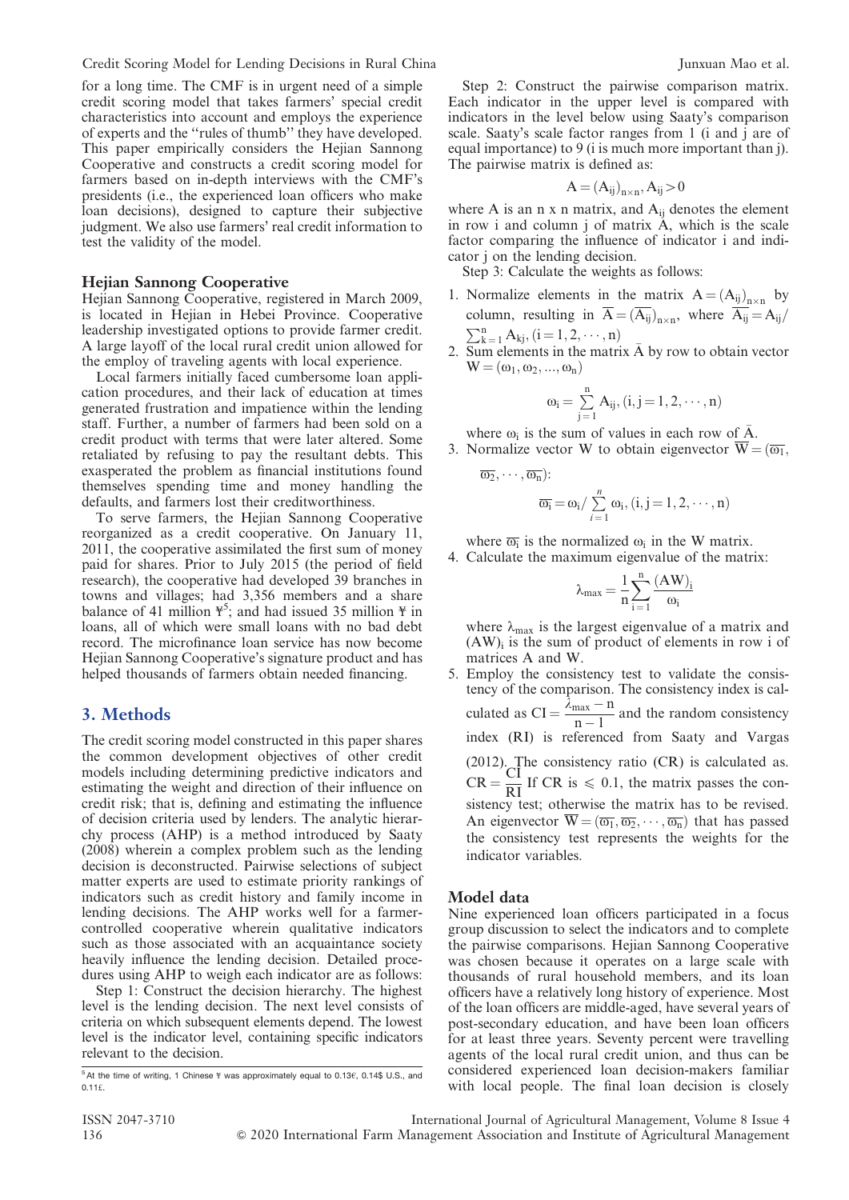for a long time. The CMF is in urgent need of a simple credit scoring model that takes farmers' special credit characteristics into account and employs the experience of experts and the ''rules of thumb'' they have developed. This paper empirically considers the Hejian Sannong Cooperative and constructs a credit scoring model for farmers based on in-depth interviews with the CMF's presidents (i.e., the experienced loan officers who make loan decisions), designed to capture their subjective judgment. We also use farmers' real credit information to test the validity of the model.

### Hejian Sannong Cooperative

Hejian Sannong Cooperative, registered in March 2009, is located in Hejian in Hebei Province. Cooperative leadership investigated options to provide farmer credit. A large layoff of the local rural credit union allowed for the employ of traveling agents with local experience.

Local farmers initially faced cumbersome loan application procedures, and their lack of education at times generated frustration and impatience within the lending staff. Further, a number of farmers had been sold on a credit product with terms that were later altered. Some retaliated by refusing to pay the resultant debts. This exasperated the problem as financial institutions found themselves spending time and money handling the defaults, and farmers lost their creditworthiness.

To serve farmers, the Hejian Sannong Cooperative reorganized as a credit cooperative. On January 11, 2011, the cooperative assimilated the first sum of money paid for shares. Prior to July 2015 (the period of field research), the cooperative had developed 39 branches in towns and villages; had 3,356 members and a share balance of 41 million  $\mathfrak{F}^5$ ; and had issued 35 million  $\mathfrak{F}$  in loans, all of which were small loans with no bad debt record. The microfinance loan service has now become Hejian Sannong Cooperative's signature product and has helped thousands of farmers obtain needed financing.

### 3. Methods

The credit scoring model constructed in this paper shares the common development objectives of other credit models including determining predictive indicators and estimating the weight and direction of their influence on credit risk; that is, defining and estimating the influence of decision criteria used by lenders. The analytic hierarchy process (AHP) is a method introduced by Saaty (2008) wherein a complex problem such as the lending decision is deconstructed. Pairwise selections of subject matter experts are used to estimate priority rankings of indicators such as credit history and family income in lending decisions. The AHP works well for a farmercontrolled cooperative wherein qualitative indicators such as those associated with an acquaintance society heavily influence the lending decision. Detailed procedures using AHP to weigh each indicator are as follows:

Step 1: Construct the decision hierarchy. The highest level is the lending decision. The next level consists of criteria on which subsequent elements depend. The lowest level is the indicator level, containing specific indicators relevant to the decision.

Step 2: Construct the pairwise comparison matrix. Each indicator in the upper level is compared with indicators in the level below using Saaty's comparison scale. Saaty's scale factor ranges from  $1$  (i and j are of equal importance) to 9 (i is much more important than j). The pairwise matrix is defined as:

$$
A = (A_{ij})_{n \times n}, A_{ij} > 0
$$

where A is an n x n matrix, and  $A_{ij}$  denotes the element in row i and column  $j$  of matrix  $\vec{A}$ , which is the scale factor comparing the influence of indicator i and indicator j on the lending decision.

Step 3: Calculate the weights as follows:

- 1. Normalize elements in the matrix  $A = (A_{ij})_{n \times n}$  by column, resulting in  $A = (A_{ij})_{n \times n}$ , where  $A_{ij} = A_{ij}/n$
- 2. Sum elements in the matrix  $\bar{A}$  by row to obtain vector  $W = (\omega_1, \omega_2, ..., \omega_n)$

$$
\omega_i=\sum_{j=1}^n A_{ij}, (i,j=1,2,\cdots,n)
$$

where  $\omega_i$  is the sum of values in each row of  $\overline{A}$ . 3. Normalize vector W to obtain eigenvector  $\overline{W} = (\overline{\omega_1},$ 

$$
\overline{\omega_2},\cdots,\overline{\omega_n})\mathpunct{:} \\ \overline{\omega_i}=\omega_i/\sum\limits_{i=1}^n\omega_i,(i,j=1,2,\cdots,n)
$$

where  $\overline{\omega_i}$  is the normalized  $\omega_i$  in the W matrix.

4. Calculate the maximum eigenvalue of the matrix:

$$
\lambda_{max}=\frac{1}{n}\sum_{i=1}^n\frac{(AW)_i}{\omega_i}
$$

where  $\lambda_{\text{max}}$  is the largest eigenvalue of a matrix and  $(AW)$ <sub>i</sub> is the sum of product of elements in row i of matrices A and W.

5. Employ the consistency test to validate the consistency of the comparison. The consistency index is calculated as  $CI = \frac{\lambda_{max} - n}{n - 1}$  and the random consistency index (RI) is referenced from Saaty and Vargas  $(2012)$ . The consistency ratio  $(CR)$  is calculated as.  $CR = \frac{CI}{RI}$  If CR is  $\leq 0.1$ , the matrix passes the consistency test; otherwise the matrix has to be revised. An eigenvector  $\overline{W} = (\overline{\omega_1}, \overline{\omega_2}, \cdots, \overline{\omega_n})$  that has passed the consistency test represents the weights for the indicator variables.

### Model data

Nine experienced loan officers participated in a focus group discussion to select the indicators and to complete the pairwise comparisons. Hejian Sannong Cooperative was chosen because it operates on a large scale with thousands of rural household members, and its loan officers have a relatively long history of experience. Most of the loan officers are middle-aged, have several years of post-secondary education, and have been loan officers for at least three years. Seventy percent were travelling agents of the local rural credit union, and thus can be considered experienced loan decision-makers familiar with local people. The final loan decision is closely

 $5$  At the time of writing, 1 Chinese  $\frac{1}{2}$  was approximately equal to 0.13 $\epsilon$ , 0.14\$ U.S., and  $0.11f$ .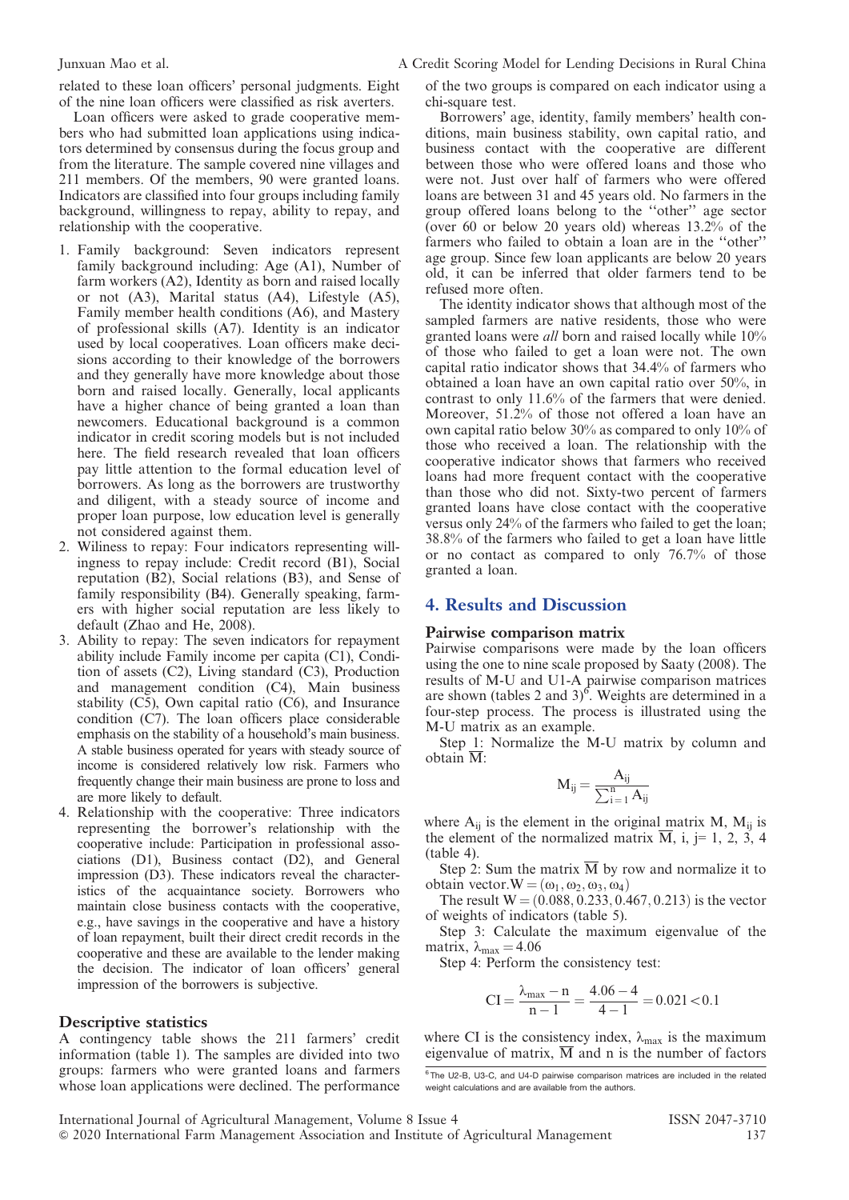related to these loan officers' personal judgments. Eight of the nine loan officers were classified as risk averters.

Loan officers were asked to grade cooperative members who had submitted loan applications using indicators determined by consensus during the focus group and from the literature. The sample covered nine villages and 211 members. Of the members, 90 were granted loans. Indicators are classified into four groups including family background, willingness to repay, ability to repay, and relationship with the cooperative.

- 1. Family background: Seven indicators represent family background including: Age (A1), Number of farm workers (A2), Identity as born and raised locally or not (A3), Marital status (A4), Lifestyle (A5), Family member health conditions (A6), and Mastery of professional skills (A7). Identity is an indicator used by local cooperatives. Loan officers make decisions according to their knowledge of the borrowers and they generally have more knowledge about those born and raised locally. Generally, local applicants have a higher chance of being granted a loan than newcomers. Educational background is a common indicator in credit scoring models but is not included here. The field research revealed that loan officers pay little attention to the formal education level of borrowers. As long as the borrowers are trustworthy and diligent, with a steady source of income and proper loan purpose, low education level is generally not considered against them.
- 2. Wiliness to repay: Four indicators representing willingness to repay include: Credit record (B1), Social reputation (B2), Social relations (B3), and Sense of family responsibility (B4). Generally speaking, farmers with higher social reputation are less likely to default (Zhao and He, 2008).
- 3. Ability to repay: The seven indicators for repayment ability include Family income per capita (C1), Condition of assets (C2), Living standard (C3), Production and management condition (C4), Main business stability (C5), Own capital ratio (C6), and Insurance condition (C7). The loan officers place considerable emphasis on the stability of a household's main business. A stable business operated for years with steady source of income is considered relatively low risk. Farmers who frequently change their main business are prone to loss and are more likely to default.
- 4. Relationship with the cooperative: Three indicators representing the borrower's relationship with the cooperative include: Participation in professional associations (D1), Business contact (D2), and General impression (D3). These indicators reveal the characteristics of the acquaintance society. Borrowers who maintain close business contacts with the cooperative, e.g., have savings in the cooperative and have a history of loan repayment, built their direct credit records in the cooperative and these are available to the lender making the decision. The indicator of loan officers' general impression of the borrowers is subjective.

### Descriptive statistics

A contingency table shows the 211 farmers' credit information (table 1). The samples are divided into two groups: farmers who were granted loans and farmers whose loan applications were declined. The performance of the two groups is compared on each indicator using a chi-square test.

Borrowers' age, identity, family members' health conditions, main business stability, own capital ratio, and business contact with the cooperative are different between those who were offered loans and those who were not. Just over half of farmers who were offered loans are between 31 and 45 years old. No farmers in the group offered loans belong to the ''other'' age sector (over 60 or below 20 years old) whereas 13.2% of the farmers who failed to obtain a loan are in the ''other'' age group. Since few loan applicants are below 20 years old, it can be inferred that older farmers tend to be refused more often.

The identity indicator shows that although most of the sampled farmers are native residents, those who were granted loans were all born and raised locally while 10% of those who failed to get a loan were not. The own capital ratio indicator shows that 34.4% of farmers who obtained a loan have an own capital ratio over 50%, in contrast to only 11.6% of the farmers that were denied. Moreover, 51.2% of those not offered a loan have an own capital ratio below 30% as compared to only 10% of those who received a loan. The relationship with the cooperative indicator shows that farmers who received loans had more frequent contact with the cooperative than those who did not. Sixty-two percent of farmers granted loans have close contact with the cooperative versus only 24% of the farmers who failed to get the loan; 38.8% of the farmers who failed to get a loan have little or no contact as compared to only 76.7% of those granted a loan.

### 4. Results and Discussion

### Pairwise comparison matrix

Pairwise comparisons were made by the loan officers using the one to nine scale proposed by Saaty (2008). The results of M-U and U1-A pairwise comparison matrices are shown (tables 2 and 3)<sup>6</sup>. Weights are determined in a four-step process. The process is illustrated using the M-U matrix as an example.

Step 1: Normalize the M-U matrix by column and obtain  $\overline{M}$ :

$$
M_{ij} = \frac{A_{ij}}{\sum_{i=1}^n A_{ij}}
$$

where  $A_{ii}$  is the element in the original matrix M,  $M_{ii}$  is the element of the normalized matrix  $\overline{M}$ , i, j= 1, 2, 3, 4 (table 4).

Step 2: Sum the matrix  $\overline{M}$  by row and normalize it to obtain vector. $W = (\omega_1, \omega_2, \omega_3, \omega_4)$ 

The result  $W = (0.088, 0.233, 0.467, 0.213)$  is the vector of weights of indicators (table 5).

Step 3: Calculate the maximum eigenvalue of the matrix,  $\lambda_{\text{max}} = 4.06$ 

Step 4: Perform the consistency test:

$$
CI = \frac{\lambda_{\text{max}} - n}{n - 1} = \frac{4.06 - 4}{4 - 1} = 0.021 < 0.1
$$

where CI is the consistency index,  $\lambda_{\text{max}}$  is the maximum eigenvalue of matrix,  $\overline{M}$  and n is the number of factors

<sup>&</sup>lt;sup>6</sup>The U2-B, U3-C, and U4-D pairwise comparison matrices are included in the related weight calculations and are available from the authors.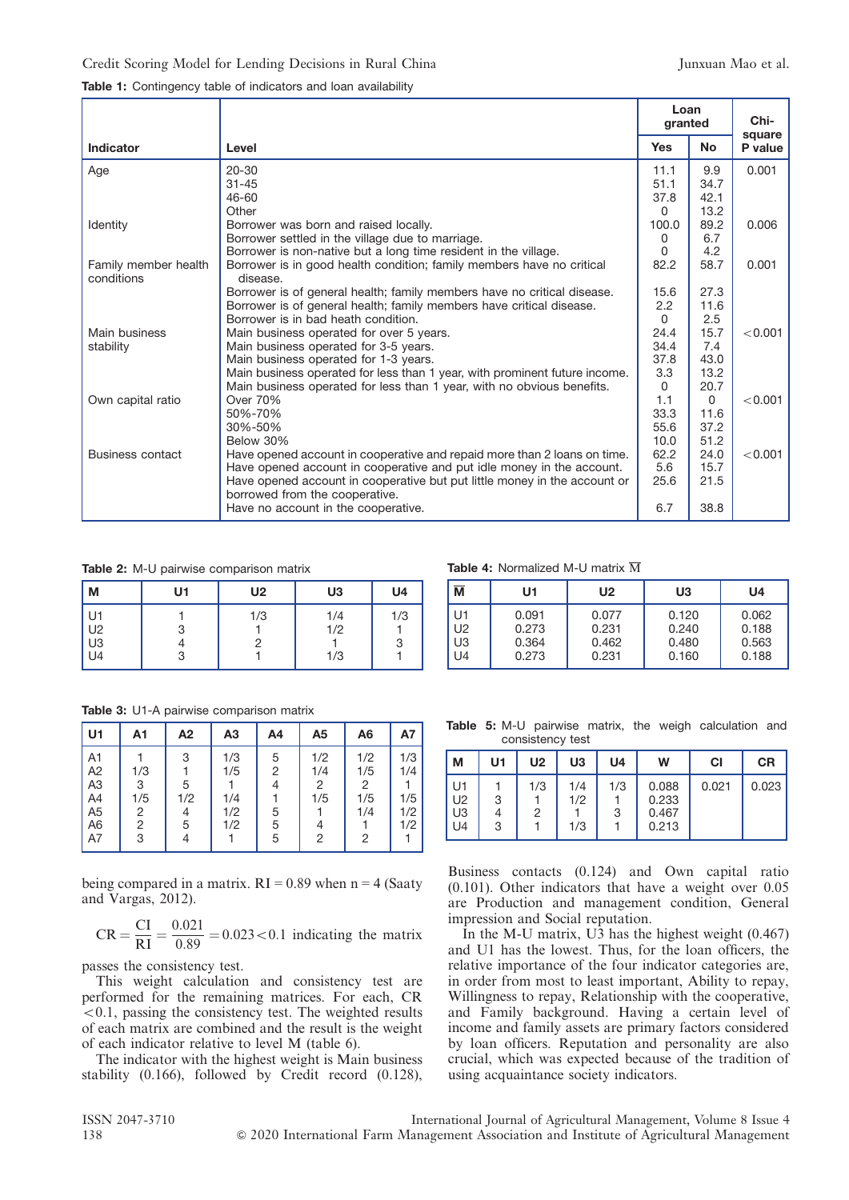|                                    |                                                                                   | Loan<br>granted |           | Chi-<br>square |
|------------------------------------|-----------------------------------------------------------------------------------|-----------------|-----------|----------------|
| Indicator                          | Level                                                                             | <b>Yes</b>      | <b>No</b> | P value        |
| Age                                | $20 - 30$                                                                         | 11.1            | 9.9       | 0.001          |
|                                    | $31 - 45$                                                                         | 51.1            | 34.7      |                |
|                                    | 46-60                                                                             | 37.8            | 42.1      |                |
|                                    | Other                                                                             | $\mathbf{0}$    | 13.2      |                |
| Identity                           | Borrower was born and raised locally.                                             | 100.0           | 89.2      | 0.006          |
|                                    | Borrower settled in the village due to marriage.                                  | 0               | 6.7       |                |
|                                    | Borrower is non-native but a long time resident in the village.                   | $\Omega$        | 4.2       |                |
| Family member health<br>conditions | Borrower is in good health condition; family members have no critical<br>disease. | 82.2            | 58.7      | 0.001          |
|                                    | Borrower is of general health; family members have no critical disease.           | 15.6            | 27.3      |                |
|                                    | Borrower is of general health; family members have critical disease.              | 2.2             | 11.6      |                |
|                                    | Borrower is in bad heath condition.                                               | $\Omega$        | 2.5       |                |
| Main business                      | Main business operated for over 5 years.                                          | 24.4            | 15.7      | < 0.001        |
| stability                          | Main business operated for 3-5 years.                                             | 34.4            | 7.4       |                |
|                                    | Main business operated for 1-3 years.                                             | 37.8            | 43.0      |                |
|                                    | Main business operated for less than 1 year, with prominent future income.        | 3.3             | 13.2      |                |
|                                    | Main business operated for less than 1 year, with no obvious benefits.            | $\Omega$        | 20.7      |                |
| Own capital ratio                  | Over 70%                                                                          | 1.1             | $\Omega$  | < 0.001        |
|                                    | 50%-70%                                                                           | 33.3            | 11.6      |                |
|                                    | 30%-50%                                                                           | 55.6            | 37.2      |                |
|                                    | Below 30%                                                                         | 10.0            | 51.2      |                |
| Business contact                   | Have opened account in cooperative and repaid more than 2 loans on time.          | 62.2            | 24.0      | < 0.001        |
|                                    | Have opened account in cooperative and put idle money in the account.             | 5.6             | 15.7      |                |
|                                    | Have opened account in cooperative but put little money in the account or         | 25.6            | 21.5      |                |
|                                    | borrowed from the cooperative.<br>Have no account in the cooperative.             | 6.7             | 38.8      |                |
|                                    |                                                                                   |                 |           |                |

Table 2: M-U pairwise comparison matrix

| M                                                        | U1     | <b>U2</b> | U3                | U4       |
|----------------------------------------------------------|--------|-----------|-------------------|----------|
| U1<br>U <sub>2</sub><br>U <sub>3</sub><br>U <sub>4</sub> | 3<br>3 | 1/3<br>2  | 1/4<br>1/2<br>1/3 | 1/3<br>3 |

Table 4: Normalized M-U matrix  $\overline{M}$ 

| $\overline{\mathsf{M}}$ | U1    | U2    | U3    | U4    |
|-------------------------|-------|-------|-------|-------|
| U1                      | 0.091 | 0.077 | 0.120 | 0.062 |
| U <sub>2</sub>          | 0.273 | 0.231 | 0.240 | 0.188 |
| U3                      | 0.364 | 0.462 | 0.480 | 0.563 |
| U4                      | 0.273 | 0.231 | 0.160 | 0.188 |

Table 3: U1-A pairwise comparison matrix

| U1             | A1  | A2  | A <sub>3</sub> | A4             | A5  | A <sub>6</sub> | А7  |
|----------------|-----|-----|----------------|----------------|-----|----------------|-----|
| A <sub>1</sub> |     | 3   | 1/3            | 5              | 1/2 | 1/2            | 1/3 |
| A <sub>2</sub> | 1/3 |     | 1/5            | $\overline{2}$ | 1/4 | 1/5            | 1/4 |
| A <sub>3</sub> | 3   | 5   |                | 4              | 2   | 2              |     |
| A4             | 1/5 | 1/2 | 1/4            |                | 1/5 | 1/5            | 1/5 |
| A <sub>5</sub> | 2   | 4   | 1/2            | 5              |     | 1/4            | 1/2 |
| A <sub>6</sub> | 2   | 5   | 1/2            | 5              | 4   |                | 1/2 |
| A7             | 3   | 4   |                | 5              | 2   | $\overline{2}$ |     |

being compared in a matrix.  $RI = 0.89$  when  $n = 4$  (Saaty and Vargas, 2012).

$$
CR = \frac{CI}{RI} = \frac{0.021}{0.89} = 0.023 < 0.1
$$
 indicating the matrix

passes the consistency test.

This weight calculation and consistency test are performed for the remaining matrices. For each, CR  $< 0.1$ , passing the consistency test. The weighted results of each matrix are combined and the result is the weight of each indicator relative to level M (table 6).

The indicator with the highest weight is Main business stability (0.166), followed by Credit record (0.128),

Table 5: M-U pairwise matrix, the weigh calculation and consistency test

| M                                | U <sub>1</sub> | U <sub>2</sub> | U3                | U <sub>4</sub> | W                                | СI    | CR    |
|----------------------------------|----------------|----------------|-------------------|----------------|----------------------------------|-------|-------|
| U1<br>U <sub>2</sub><br>U3<br>U4 | 3<br>3         | 1/3<br>2       | 1/4<br>1/2<br>1/3 | 1/3<br>3       | 0.088<br>0.233<br>0.467<br>0.213 | 0.021 | 0.023 |

Business contacts (0.124) and Own capital ratio (0.101). Other indicators that have a weight over 0.05 are Production and management condition, General impression and Social reputation.

In the M-U matrix, U3 has the highest weight  $(0.467)$ and U1 has the lowest. Thus, for the loan officers, the relative importance of the four indicator categories are, in order from most to least important, Ability to repay, Willingness to repay, Relationship with the cooperative, and Family background. Having a certain level of income and family assets are primary factors considered by loan officers. Reputation and personality are also crucial, which was expected because of the tradition of using acquaintance society indicators.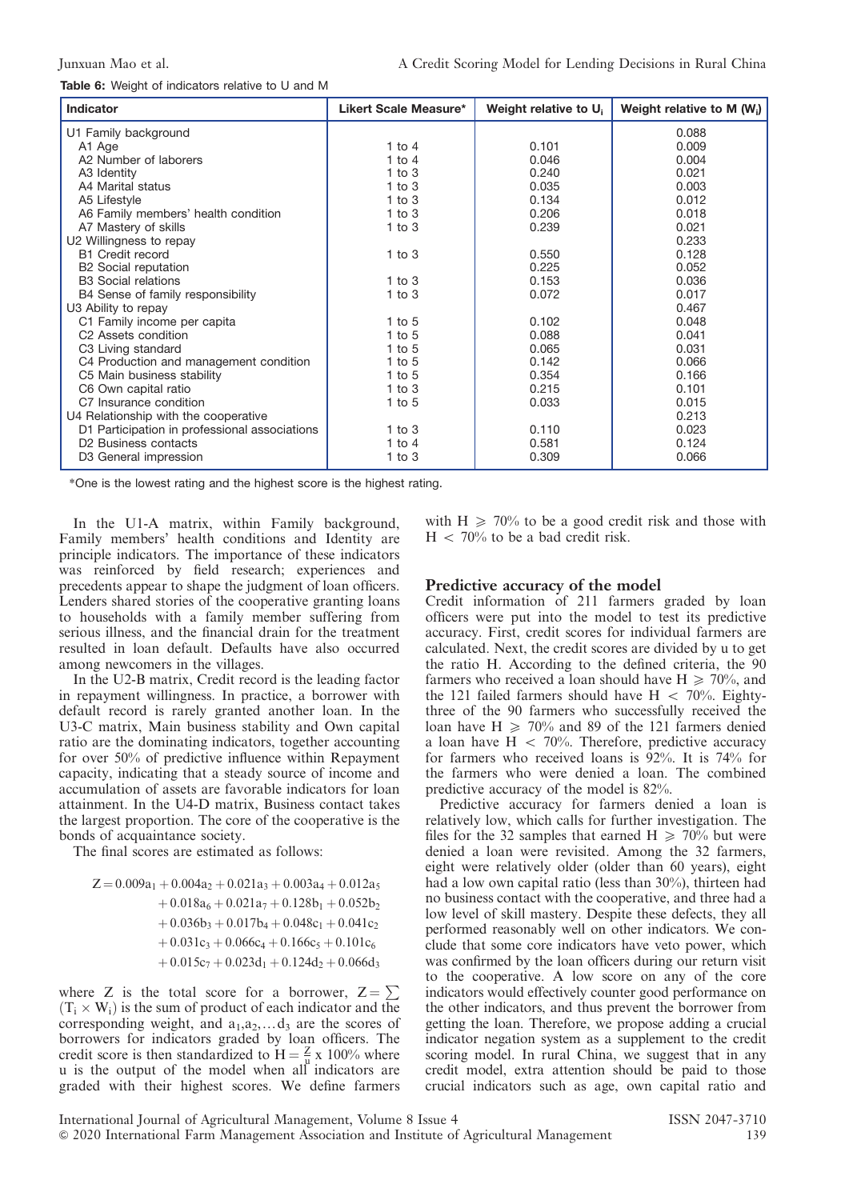Table 6: Weight of indicators relative to U and M

| <b>Indicator</b>                              | Likert Scale Measure* | Weight relative to U <sub>i</sub> | Weight relative to M $(W_i)$ |
|-----------------------------------------------|-----------------------|-----------------------------------|------------------------------|
| U1 Family background                          |                       |                                   | 0.088                        |
| A1 Age                                        | 1 to 4                | 0.101                             | 0.009                        |
| A2 Number of laborers                         | $1$ to $4$            | 0.046                             | 0.004                        |
| A3 Identity                                   | $1$ to $3$            | 0.240                             | 0.021                        |
| A4 Marital status                             | $1$ to $3$            | 0.035                             | 0.003                        |
| A5 Lifestyle                                  | $1$ to $3$            | 0.134                             | 0.012                        |
| A6 Family members' health condition           | $1$ to $3$            | 0.206                             | 0.018                        |
| A7 Mastery of skills                          | $1$ to $3$            | 0.239                             | 0.021                        |
| U2 Willingness to repay                       |                       |                                   | 0.233                        |
| <b>B1 Credit record</b>                       | $1$ to $3$            | 0.550                             | 0.128                        |
| B <sub>2</sub> Social reputation              |                       | 0.225                             | 0.052                        |
| <b>B3</b> Social relations                    | $1$ to $3$            | 0.153                             | 0.036                        |
| B4 Sense of family responsibility             | $1$ to $3$            | 0.072                             | 0.017                        |
| U3 Ability to repay                           |                       |                                   | 0.467                        |
| C1 Family income per capita                   | 1 to $5$              | 0.102                             | 0.048                        |
| C <sub>2</sub> Assets condition               | 1 to $5$              | 0.088                             | 0.041                        |
| C3 Living standard                            | 1 to $5$              | 0.065                             | 0.031                        |
| C4 Production and management condition        | 1 to $5$              | 0.142                             | 0.066                        |
| C5 Main business stability                    | 1 to $5$              | 0.354                             | 0.166                        |
| C6 Own capital ratio                          | $1$ to $3$            | 0.215                             | 0.101                        |
| C7 Insurance condition                        | $1$ to $5$            | 0.033                             | 0.015                        |
| U4 Relationship with the cooperative          |                       |                                   | 0.213                        |
| D1 Participation in professional associations | 1 to $3$              | 0.110                             | 0.023                        |
| D <sub>2</sub> Business contacts              | 1 to $4$              | 0.581                             | 0.124                        |
| D3 General impression                         | $1$ to $3$            | 0.309                             | 0.066                        |

\*One is the lowest rating and the highest score is the highest rating.

In the U1-A matrix, within Family background, Family members' health conditions and Identity are principle indicators. The importance of these indicators was reinforced by field research; experiences and precedents appear to shape the judgment of loan officers. Lenders shared stories of the cooperative granting loans to households with a family member suffering from serious illness, and the financial drain for the treatment resulted in loan default. Defaults have also occurred among newcomers in the villages.

In the U2-B matrix, Credit record is the leading factor in repayment willingness. In practice, a borrower with default record is rarely granted another loan. In the U3-C matrix, Main business stability and Own capital ratio are the dominating indicators, together accounting for over 50% of predictive influence within Repayment capacity, indicating that a steady source of income and accumulation of assets are favorable indicators for loan attainment. In the U4-D matrix, Business contact takes the largest proportion. The core of the cooperative is the bonds of acquaintance society.

The final scores are estimated as follows:

 $Z = 0.009a_1 + 0.004a_2 + 0.021a_3 + 0.003a_4 + 0.012a_5$  $+0.018a_6 + 0.021a_7 + 0.128b_1 + 0.052b_2$  $+0.036b_3 + 0.017b_4 + 0.048c_1 + 0.041c_2$  $+0.031c_3 + 0.066c_4 + 0.166c_5 + 0.101c_6$  $+0.015c_7 + 0.023d_1 + 0.124d_2 + 0.066d_3$ 

where Z is the total score for a borrower,  $Z = \sum$  $(T_i \times W_i)$  is the sum of product of each indicator and the corresponding weight, and  $a_1, a_2, \ldots, a_n$  are the scores of borrowers for indicators graded by loan officers. The credit score is then standardized to  $H = \frac{Z}{\mu} \times 100\%$  where u is the output of the model when all indicators are graded with their highest scores. We define farmers with  $H \ge 70\%$  to be a good credit risk and those with  $H < 70\%$  to be a bad credit risk.

### Predictive accuracy of the model

Credit information of 211 farmers graded by loan officers were put into the model to test its predictive accuracy. First, credit scores for individual farmers are calculated. Next, the credit scores are divided by u to get the ratio H. According to the defined criteria, the 90 farmers who received a loan should have  $H \ge 70\%$ , and the 121 failed farmers should have  $H < 70\%$ . Eightythree of the 90 farmers who successfully received the loan have  $H \ge 70\%$  and 89 of the 121 farmers denied a loan have  $H < 70%$ . Therefore, predictive accuracy for farmers who received loans is 92%. It is 74% for the farmers who were denied a loan. The combined predictive accuracy of the model is 82%.

Predictive accuracy for farmers denied a loan is relatively low, which calls for further investigation. The files for the 32 samples that earned H  $\geq 70\%$  but were denied a loan were revisited. Among the 32 farmers, eight were relatively older (older than 60 years), eight had a low own capital ratio (less than 30%), thirteen had no business contact with the cooperative, and three had a low level of skill mastery. Despite these defects, they all performed reasonably well on other indicators. We conclude that some core indicators have veto power, which was confirmed by the loan officers during our return visit to the cooperative. A low score on any of the core indicators would effectively counter good performance on the other indicators, and thus prevent the borrower from getting the loan. Therefore, we propose adding a crucial indicator negation system as a supplement to the credit scoring model. In rural China, we suggest that in any credit model, extra attention should be paid to those crucial indicators such as age, own capital ratio and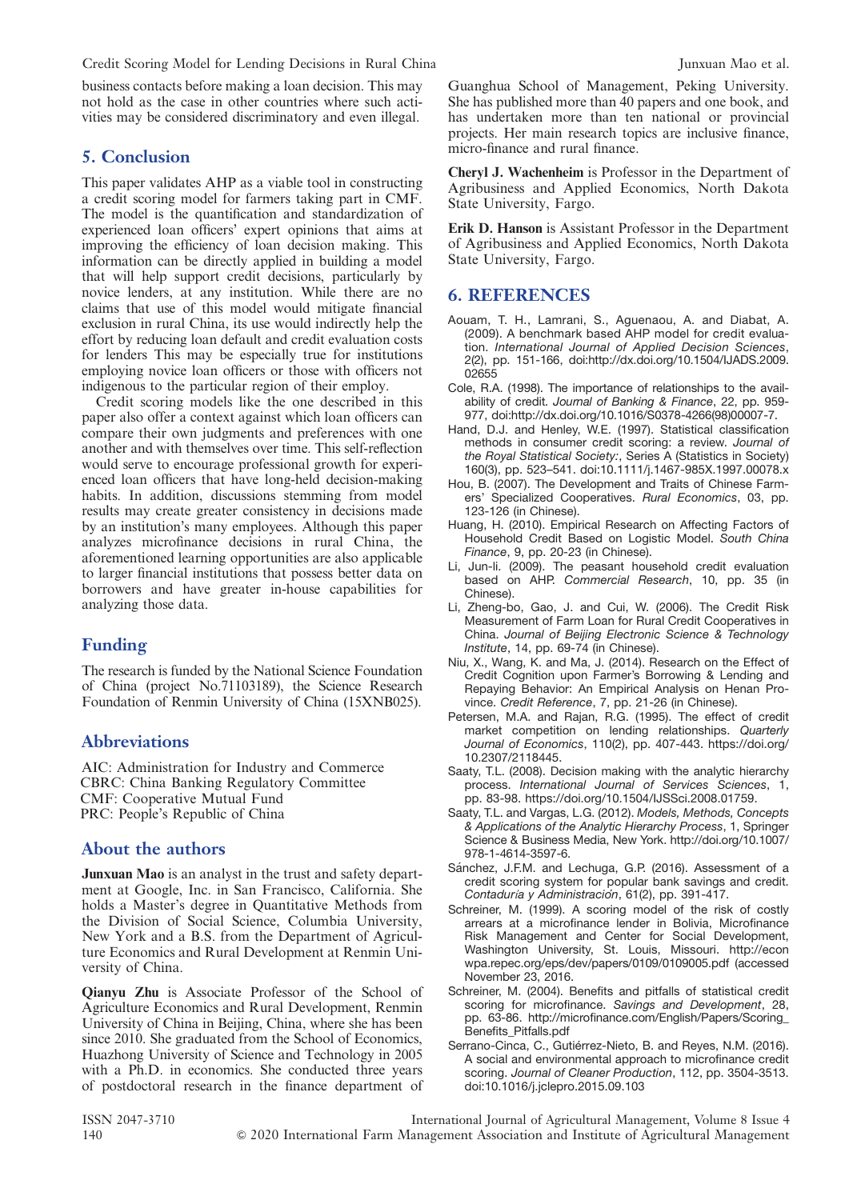Credit Scoring Model for Lending Decisions in Rural China Junxuan Mao et al.

business contacts before making a loan decision. This may not hold as the case in other countries where such activities may be considered discriminatory and even illegal.

### 5. Conclusion

This paper validates AHP as a viable tool in constructing a credit scoring model for farmers taking part in CMF. The model is the quantification and standardization of experienced loan officers' expert opinions that aims at improving the efficiency of loan decision making. This information can be directly applied in building a model that will help support credit decisions, particularly by novice lenders, at any institution. While there are no claims that use of this model would mitigate financial exclusion in rural China, its use would indirectly help the effort by reducing loan default and credit evaluation costs for lenders This may be especially true for institutions employing novice loan officers or those with officers not indigenous to the particular region of their employ.

Credit scoring models like the one described in this paper also offer a context against which loan officers can compare their own judgments and preferences with one another and with themselves over time. This self-reflection would serve to encourage professional growth for experienced loan officers that have long-held decision-making habits. In addition, discussions stemming from model results may create greater consistency in decisions made by an institution's many employees. Although this paper analyzes microfinance decisions in rural China, the aforementioned learning opportunities are also applicable to larger financial institutions that possess better data on borrowers and have greater in-house capabilities for analyzing those data.

### Funding

The research is funded by the National Science Foundation of China (project No.71103189), the Science Research Foundation of Renmin University of China (15XNB025).

### Abbreviations

AIC: Administration for Industry and Commerce CBRC: China Banking Regulatory Committee CMF: Cooperative Mutual Fund PRC: People's Republic of China

### About the authors

**Junxuan Mao** is an analyst in the trust and safety department at Google, Inc. in San Francisco, California. She holds a Master's degree in Quantitative Methods from the Division of Social Science, Columbia University, New York and a B.S. from the Department of Agriculture Economics and Rural Development at Renmin University of China.

Qianyu Zhu is Associate Professor of the School of Agriculture Economics and Rural Development, Renmin University of China in Beijing, China, where she has been since 2010. She graduated from the School of Economics, Huazhong University of Science and Technology in 2005 with a Ph.D. in economics. She conducted three years of postdoctoral research in the finance department of Guanghua School of Management, Peking University. She has published more than 40 papers and one book, and has undertaken more than ten national or provincial projects. Her main research topics are inclusive finance, micro-finance and rural finance.

Cheryl J. Wachenheim is Professor in the Department of Agribusiness and Applied Economics, North Dakota State University, Fargo.

Erik D. Hanson is Assistant Professor in the Department of Agribusiness and Applied Economics, North Dakota State University, Fargo.

### 6. REFERENCES

- Aouam, T. H., Lamrani, S., Aguenaou, A. and Diabat, A. (2009). A benchmark based AHP model for credit evaluation. International Journal of Applied Decision Sciences, 2(2), pp. 151-166, doi:http://dx.doi.org/10.1504/IJADS.2009. 02655
- Cole, R.A. (1998). The importance of relationships to the availability of credit. Journal of Banking & Finance, 22, pp. 959- 977, doi:http://dx.doi.org/10.1016/S0378-4266(98)00007-7.
- Hand, D.J. and Henley, W.E. (1997). Statistical classification methods in consumer credit scoring: a review. Journal of the Royal Statistical Society:, Series A (Statistics in Society) 160(3), pp. 523–541. doi:10.1111/j.1467-985X.1997.00078.x
- Hou, B. (2007). The Development and Traits of Chinese Farmers' Specialized Cooperatives. Rural Economics, 03, pp. 123-126 (in Chinese).
- Huang, H. (2010). Empirical Research on Affecting Factors of Household Credit Based on Logistic Model. South China Finance, 9, pp. 20-23 (in Chinese).
- Li, Jun-li. (2009). The peasant household credit evaluation based on AHP. Commercial Research, 10, pp. 35 (in Chinese).
- Li, Zheng-bo, Gao, J. and Cui, W. (2006). The Credit Risk Measurement of Farm Loan for Rural Credit Cooperatives in China. Journal of Beijing Electronic Science & Technology Institute, 14, pp. 69-74 (in Chinese).
- Niu, X., Wang, K. and Ma, J. (2014). Research on the Effect of Credit Cognition upon Farmer's Borrowing & Lending and Repaying Behavior: An Empirical Analysis on Henan Province. Credit Reference, 7, pp. 21-26 (in Chinese).
- Petersen, M.A. and Rajan, R.G. (1995). The effect of credit market competition on lending relationships. Quarterly Journal of Economics, 110(2), pp. 407-443. https://doi.org/ 10.2307/2118445.
- Saaty, T.L. (2008). Decision making with the analytic hierarchy process. International Journal of Services Sciences, 1, pp. 83-98. https://doi.org/10.1504/IJSSci.2008.01759.
- Saaty, T.L. and Vargas, L.G. (2012). Models, Methods, Concepts & Applications of the Analytic Hierarchy Process, 1, Springer Science & Business Media, New York. http://doi.org/10.1007/ 978-1-4614-3597-6.
- Sánchez, J.F.M. and Lechuga, G.P. (2016). Assessment of a credit scoring system for popular bank savings and credit. Contaduría y Administración, 61(2), pp. 391-417.
- Schreiner, M. (1999). A scoring model of the risk of costly arrears at a microfinance lender in Bolivia, Microfinance Risk Management and Center for Social Development, Washington University, St. Louis, Missouri. http://econ wpa.repec.org/eps/dev/papers/0109/0109005.pdf (accessed November 23, 2016.
- Schreiner, M. (2004). Benefits and pitfalls of statistical credit scoring for microfinance. Savings and Development, 28, pp. 63-86. http://microfinance.com/English/Papers/Scoring\_ Benefits\_Pitfalls.pdf
- Serrano-Cinca, C., Gutiérrez-Nieto, B. and Reyes, N.M. (2016). A social and environmental approach to microfinance credit scoring. Journal of Cleaner Production, 112, pp. 3504-3513. doi:10.1016/j.jclepro.2015.09.103